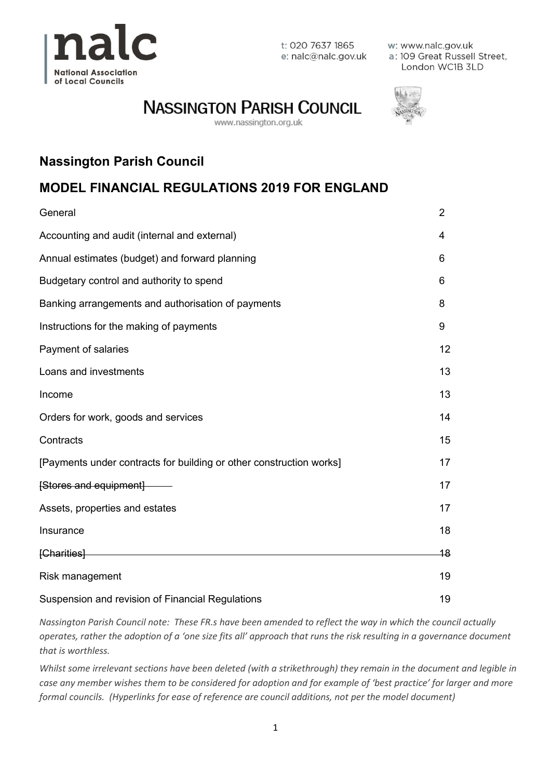

t: 020 7637 1865 e: nalc@nalc.gov.uk w: www.nalc.gov.uk a: 109 Great Russell Street, London WC1B 3LD

# **NASSINGTON PARISH COUNCIL**

www.nassington.org.uk



# **Nassington Parish Council**

## **MODEL FINANCIAL REGULATIONS 2019 FOR ENGLAND**

| General                                                             | $\overline{2}$ |
|---------------------------------------------------------------------|----------------|
| Accounting and audit (internal and external)                        | 4              |
| Annual estimates (budget) and forward planning                      | 6              |
| Budgetary control and authority to spend                            | 6              |
| Banking arrangements and authorisation of payments                  | 8              |
| Instructions for the making of payments                             | 9              |
| Payment of salaries                                                 | 12             |
| Loans and investments                                               | 13             |
| Income                                                              | 13             |
| Orders for work, goods and services                                 | 14             |
| Contracts                                                           | 15             |
| [Payments under contracts for building or other construction works] | 17             |
| [Stores and equipment] --                                           | 17             |
| Assets, properties and estates                                      | 17             |
| Insurance                                                           | 18             |
| [Charities]                                                         | 18             |
| Risk management                                                     | 19             |
| Suspension and revision of Financial Regulations                    | 19             |

*Nassington Parish Council note: These FR.s have been amended to reflect the way in which the council actually operates, rather the adoption of a 'one size fits all' approach that runs the risk resulting in a governance document that is worthless.*

*Whilst some irrelevant sections have been deleted (with a strikethrough) they remain in the document and legible in case any member wishes them to be considered for adoption and for example of 'best practice' for larger and more formal councils. (Hyperlinks for ease of reference are council additions, not per the model document)*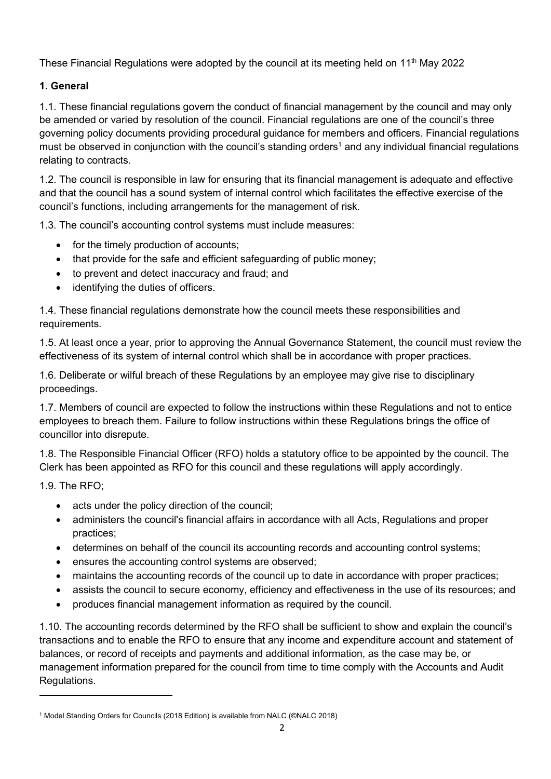These Financial Regulations were adopted by the council at its meeting held on 11<sup>th</sup> May 2022

## **1. General**

1.1. These financial regulations govern the conduct of financial management by the council and may only be amended or varied by resolution of the council. Financial regulations are one of the council's three governing policy documents providing procedural guidance for members and officers. Financial regulations must be observed in conjunction with the council's standing orders<sup>1</sup> and any individual financial regulations relating to contracts.

1.2. The council is responsible in law for ensuring that its financial management is adequate and effective and that the council has a sound system of internal control which facilitates the effective exercise of the council's functions, including arrangements for the management of risk.

1.3. The council's accounting control systems must include measures:

- for the timely production of accounts;
- that provide for the safe and efficient safeguarding of public money;
- to prevent and detect inaccuracy and fraud; and
- identifying the duties of officers.

1.4. These financial regulations demonstrate how the council meets these responsibilities and requirements.

1.5. At least once a year, prior to approving the Annual Governance Statement, the council must review the effectiveness of its system of internal control which shall be in accordance with proper practices.

1.6. Deliberate or wilful breach of these Regulations by an employee may give rise to disciplinary proceedings.

1.7. Members of council are expected to follow the instructions within these Regulations and not to entice employees to breach them. Failure to follow instructions within these Regulations brings the office of councillor into disrepute.

1.8. The Responsible Financial Officer (RFO) holds a statutory office to be appointed by the council. The Clerk has been appointed as RFO for this council and these regulations will apply accordingly.

1.9. The RFO;

- acts under the policy direction of the council:
- administers the council's financial affairs in accordance with all Acts, Regulations and proper practices;
- determines on behalf of the council its accounting records and accounting control systems;
- ensures the accounting control systems are observed;
- maintains the accounting records of the council up to date in accordance with proper practices;
- assists the council to secure economy, efficiency and effectiveness in the use of its resources; and
- produces financial management information as required by the council.

1.10. The accounting records determined by the RFO shall be sufficient to show and explain the council's transactions and to enable the RFO to ensure that any income and expenditure account and statement of balances, or record of receipts and payments and additional information, as the case may be, or management information prepared for the council from time to time comply with the Accounts and Audit Regulations.

<sup>1</sup> Model Standing Orders for Councils (2018 Edition) is available from NALC (©NALC 2018)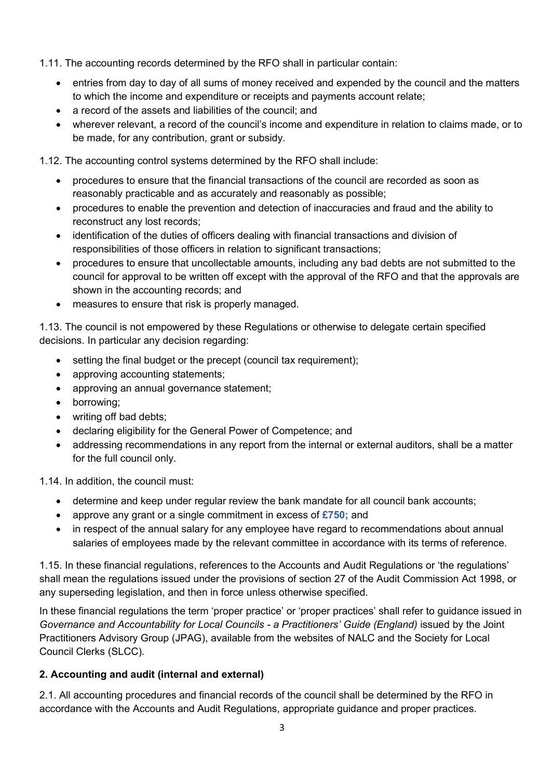- 1.11. The accounting records determined by the RFO shall in particular contain:
	- entries from day to day of all sums of money received and expended by the council and the matters to which the income and expenditure or receipts and payments account relate;
	- a record of the assets and liabilities of the council: and
	- wherever relevant, a record of the council's income and expenditure in relation to claims made, or to be made, for any contribution, grant or subsidy.

1.12. The accounting control systems determined by the RFO shall include:

- procedures to ensure that the financial transactions of the council are recorded as soon as reasonably practicable and as accurately and reasonably as possible;
- procedures to enable the prevention and detection of inaccuracies and fraud and the ability to reconstruct any lost records;
- identification of the duties of officers dealing with financial transactions and division of responsibilities of those officers in relation to significant transactions;
- procedures to ensure that uncollectable amounts, including any bad debts are not submitted to the council for approval to be written off except with the approval of the RFO and that the approvals are shown in the accounting records; and
- measures to ensure that risk is properly managed.

1.13. The council is not empowered by these Regulations or otherwise to delegate certain specified decisions. In particular any decision regarding:

- setting the final budget or the precept (council tax requirement):
- approving accounting statements;
- approving an annual governance statement;
- borrowing;
- writing off bad debts;
- declaring eligibility for the General Power of Competence; and
- addressing recommendations in any report from the internal or external auditors, shall be a matter for the full council only.

1.14. In addition, the council must:

- determine and keep under regular review the bank mandate for all council bank accounts;
- approve any grant or a single commitment in excess of **£750;** and
- in respect of the annual salary for any employee have regard to recommendations about annual salaries of employees made by the relevant committee in accordance with its terms of reference.

1.15. In these financial regulations, references to the Accounts and Audit Regulations or 'the regulations' shall mean the regulations issued under the provisions of section 27 of the Audit Commission Act 1998, or any superseding legislation, and then in force unless otherwise specified.

In these financial regulations the term 'proper practice' or 'proper practices' shall refer to guidance issued in *Governance and Accountability for Local Councils - a Practitioners' Guide (England)* issued by the Joint Practitioners Advisory Group (JPAG), available from the websites of NALC and the Society for Local Council Clerks (SLCC).

## **2. Accounting and audit (internal and external)**

2.1. All accounting procedures and financial records of the council shall be determined by the RFO in accordance with the Accounts and Audit Regulations, appropriate guidance and proper practices.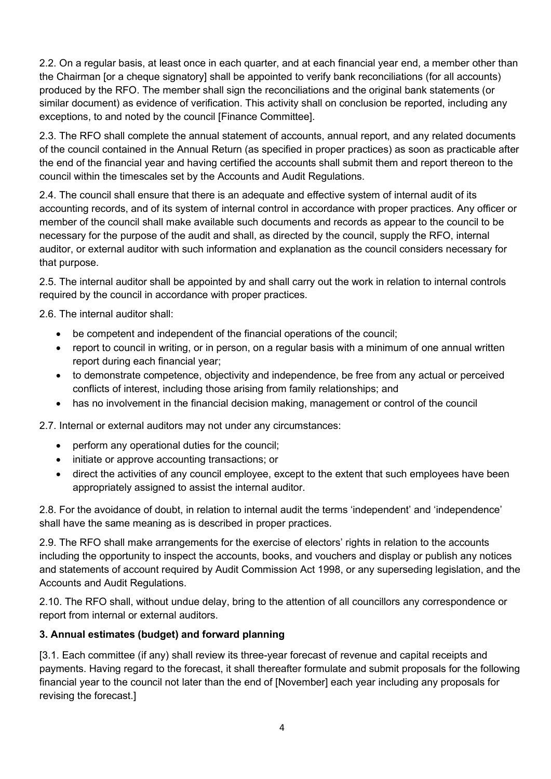2.2. On a regular basis, at least once in each quarter, and at each financial year end, a member other than the Chairman [or a cheque signatory] shall be appointed to verify bank reconciliations (for all accounts) produced by the RFO. The member shall sign the reconciliations and the original bank statements (or similar document) as evidence of verification. This activity shall on conclusion be reported, including any exceptions, to and noted by the council [Finance Committee].

2.3. The RFO shall complete the annual statement of accounts, annual report, and any related documents of the council contained in the Annual Return (as specified in proper practices) as soon as practicable after the end of the financial year and having certified the accounts shall submit them and report thereon to the council within the timescales set by the Accounts and Audit Regulations.

2.4. The council shall ensure that there is an adequate and effective system of internal audit of its accounting records, and of its system of internal control in accordance with proper practices. Any officer or member of the council shall make available such documents and records as appear to the council to be necessary for the purpose of the audit and shall, as directed by the council, supply the RFO, internal auditor, or external auditor with such information and explanation as the council considers necessary for that purpose.

2.5. The internal auditor shall be appointed by and shall carry out the work in relation to internal controls required by the council in accordance with proper practices.

2.6. The internal auditor shall:

- be competent and independent of the financial operations of the council;
- report to council in writing, or in person, on a regular basis with a minimum of one annual written report during each financial year;
- to demonstrate competence, objectivity and independence, be free from any actual or perceived conflicts of interest, including those arising from family relationships; and
- has no involvement in the financial decision making, management or control of the council

2.7. Internal or external auditors may not under any circumstances:

- perform any operational duties for the council;
- initiate or approve accounting transactions; or
- direct the activities of any council employee, except to the extent that such employees have been appropriately assigned to assist the internal auditor.

2.8. For the avoidance of doubt, in relation to internal audit the terms 'independent' and 'independence' shall have the same meaning as is described in proper practices.

2.9. The RFO shall make arrangements for the exercise of electors' rights in relation to the accounts including the opportunity to inspect the accounts, books, and vouchers and display or publish any notices and statements of account required by Audit Commission Act 1998, or any superseding legislation, and the Accounts and Audit Regulations.

2.10. The RFO shall, without undue delay, bring to the attention of all councillors any correspondence or report from internal or external auditors.

## **3. Annual estimates (budget) and forward planning**

[3.1. Each committee (if any) shall review its three-year forecast of revenue and capital receipts and payments. Having regard to the forecast, it shall thereafter formulate and submit proposals for the following financial year to the council not later than the end of [November] each year including any proposals for revising the forecast.]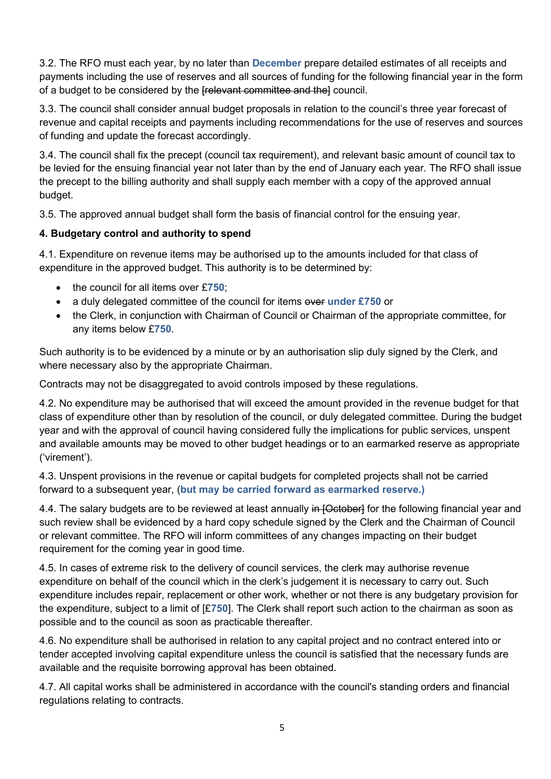3.2. The RFO must each year, by no later than **December** prepare detailed estimates of all receipts and payments including the use of reserves and all sources of funding for the following financial year in the form of a budget to be considered by the [relevant committee and the] council.

3.3. The council shall consider annual budget proposals in relation to the council's three year forecast of revenue and capital receipts and payments including recommendations for the use of reserves and sources of funding and update the forecast accordingly.

3.4. The council shall fix the precept (council tax requirement), and relevant basic amount of council tax to be levied for the ensuing financial year not later than by the end of January each year. The RFO shall issue the precept to the billing authority and shall supply each member with a copy of the approved annual budget.

3.5. The approved annual budget shall form the basis of financial control for the ensuing year.

## **4. Budgetary control and authority to spend**

4.1. Expenditure on revenue items may be authorised up to the amounts included for that class of expenditure in the approved budget. This authority is to be determined by:

- the council for all items over £**750**;
- a duly delegated committee of the council for items over under £750 or
- the Clerk, in conjunction with Chairman of Council or Chairman of the appropriate committee, for any items below £**750**.

Such authority is to be evidenced by a minute or by an authorisation slip duly signed by the Clerk, and where necessary also by the appropriate Chairman.

Contracts may not be disaggregated to avoid controls imposed by these regulations.

4.2. No expenditure may be authorised that will exceed the amount provided in the revenue budget for that class of expenditure other than by resolution of the council, or duly delegated committee. During the budget year and with the approval of council having considered fully the implications for public services, unspent and available amounts may be moved to other budget headings or to an earmarked reserve as appropriate ('virement').

4.3. Unspent provisions in the revenue or capital budgets for completed projects shall not be carried forward to a subsequent year, (**but may be carried forward as earmarked reserve.)**

4.4. The salary budgets are to be reviewed at least annually in [October] for the following financial year and such review shall be evidenced by a hard copy schedule signed by the Clerk and the Chairman of Council or relevant committee. The RFO will inform committees of any changes impacting on their budget requirement for the coming year in good time.

4.5. In cases of extreme risk to the delivery of council services, the clerk may authorise revenue expenditure on behalf of the council which in the clerk's judgement it is necessary to carry out. Such expenditure includes repair, replacement or other work, whether or not there is any budgetary provision for the expenditure, subject to a limit of [£**750**]. The Clerk shall report such action to the chairman as soon as possible and to the council as soon as practicable thereafter.

4.6. No expenditure shall be authorised in relation to any capital project and no contract entered into or tender accepted involving capital expenditure unless the council is satisfied that the necessary funds are available and the requisite borrowing approval has been obtained.

4.7. All capital works shall be administered in accordance with the council's standing orders and financial regulations relating to contracts.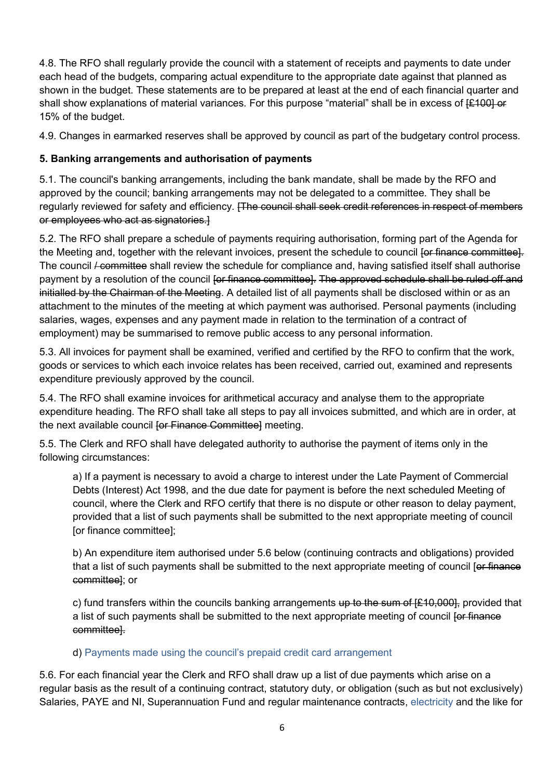4.8. The RFO shall regularly provide the council with a statement of receipts and payments to date under each head of the budgets, comparing actual expenditure to the appropriate date against that planned as shown in the budget. These statements are to be prepared at least at the end of each financial quarter and shall show explanations of material variances. For this purpose "material" shall be in excess of  $[£100]$  or 15% of the budget.

4.9. Changes in earmarked reserves shall be approved by council as part of the budgetary control process.

## **5. Banking arrangements and authorisation of payments**

5.1. The council's banking arrangements, including the bank mandate, shall be made by the RFO and approved by the council; banking arrangements may not be delegated to a committee. They shall be regularly reviewed for safety and efficiency. [The council shall seek credit references in respect of members or employees who act as signatories.]

5.2. The RFO shall prepare a schedule of payments requiring authorisation, forming part of the Agenda for the Meeting and, together with the relevant invoices, present the schedule to council for finance committeel. The council */ committee* shall review the schedule for compliance and, having satisfied itself shall authorise payment by a resolution of the council for finance committee]. The approved schedule shall be ruled off and initialled by the Chairman of the Meeting. A detailed list of all payments shall be disclosed within or as an attachment to the minutes of the meeting at which payment was authorised. Personal payments (including salaries, wages, expenses and any payment made in relation to the termination of a contract of employment) may be summarised to remove public access to any personal information.

5.3. All invoices for payment shall be examined, verified and certified by the RFO to confirm that the work, goods or services to which each invoice relates has been received, carried out, examined and represents expenditure previously approved by the council.

5.4. The RFO shall examine invoices for arithmetical accuracy and analyse them to the appropriate expenditure heading. The RFO shall take all steps to pay all invoices submitted, and which are in order, at the next available council for Finance Committeel meeting.

5.5. The Clerk and RFO shall have delegated authority to authorise the payment of items only in the following circumstances:

a) If a payment is necessary to avoid a charge to interest under the Late Payment of Commercial Debts (Interest) Act 1998, and the due date for payment is before the next scheduled Meeting of council, where the Clerk and RFO certify that there is no dispute or other reason to delay payment, provided that a list of such payments shall be submitted to the next appropriate meeting of council [or finance committee];

b) An expenditure item authorised under 5.6 below (continuing contracts and obligations) provided that a list of such payments shall be submitted to the next appropriate meeting of council [or finance committee]; or

c) fund transfers within the councils banking arrangements up to the sum of  $E$ 10,000, provided that a list of such payments shall be submitted to the next appropriate meeting of council for finance committee].

## d) Payments made using the council's prepaid credit card arrangement

5.6. For each financial year the Clerk and RFO shall draw up a list of due payments which arise on a regular basis as the result of a continuing contract, statutory duty, or obligation (such as but not exclusively) Salaries, PAYE and NI, Superannuation Fund and regular maintenance contracts, electricity and the like for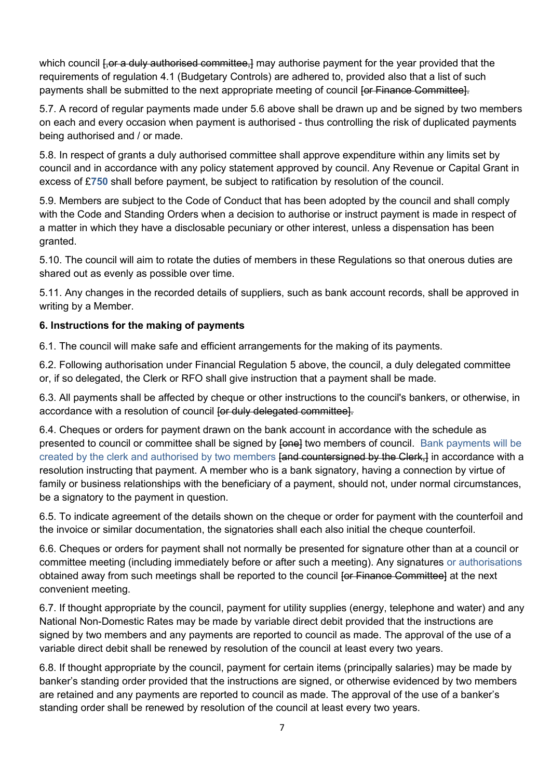which council *for a duly authorised committee*, may authorise payment for the year provided that the requirements of regulation 4.1 (Budgetary Controls) are adhered to, provided also that a list of such payments shall be submitted to the next appropriate meeting of council for Finance Committee.

5.7. A record of regular payments made under 5.6 above shall be drawn up and be signed by two members on each and every occasion when payment is authorised - thus controlling the risk of duplicated payments being authorised and / or made.

5.8. In respect of grants a duly authorised committee shall approve expenditure within any limits set by council and in accordance with any policy statement approved by council. Any Revenue or Capital Grant in excess of £**750** shall before payment, be subject to ratification by resolution of the council.

5.9. Members are subject to the Code of Conduct that has been adopted by the council and shall comply with the Code and Standing Orders when a decision to authorise or instruct payment is made in respect of a matter in which they have a disclosable pecuniary or other interest, unless a dispensation has been granted.

5.10. The council will aim to rotate the duties of members in these Regulations so that onerous duties are shared out as evenly as possible over time.

5.11. Any changes in the recorded details of suppliers, such as bank account records, shall be approved in writing by a Member.

#### **6. Instructions for the making of payments**

6.1. The council will make safe and efficient arrangements for the making of its payments.

6.2. Following authorisation under Financial Regulation 5 above, the council, a duly delegated committee or, if so delegated, the Clerk or RFO shall give instruction that a payment shall be made.

6.3. All payments shall be affected by cheque or other instructions to the council's bankers, or otherwise, in accordance with a resolution of council [or duly delegated committee].

6.4. Cheques or orders for payment drawn on the bank account in accordance with the schedule as presented to council or committee shall be signed by  $\beta$  [one] two members of council. Bank payments will be created by the clerk and authorised by two members **[and countersigned by the Clerk,]** in accordance with a resolution instructing that payment. A member who is a bank signatory, having a connection by virtue of family or business relationships with the beneficiary of a payment, should not, under normal circumstances, be a signatory to the payment in question.

6.5. To indicate agreement of the details shown on the cheque or order for payment with the counterfoil and the invoice or similar documentation, the signatories shall each also initial the cheque counterfoil.

6.6. Cheques or orders for payment shall not normally be presented for signature other than at a council or committee meeting (including immediately before or after such a meeting). Any signatures or authorisations obtained away from such meetings shall be reported to the council for Finance Committee] at the next convenient meeting.

6.7. If thought appropriate by the council, payment for utility supplies (energy, telephone and water) and any National Non-Domestic Rates may be made by variable direct debit provided that the instructions are signed by two members and any payments are reported to council as made. The approval of the use of a variable direct debit shall be renewed by resolution of the council at least every two years.

6.8. If thought appropriate by the council, payment for certain items (principally salaries) may be made by banker's standing order provided that the instructions are signed, or otherwise evidenced by two members are retained and any payments are reported to council as made. The approval of the use of a banker's standing order shall be renewed by resolution of the council at least every two years.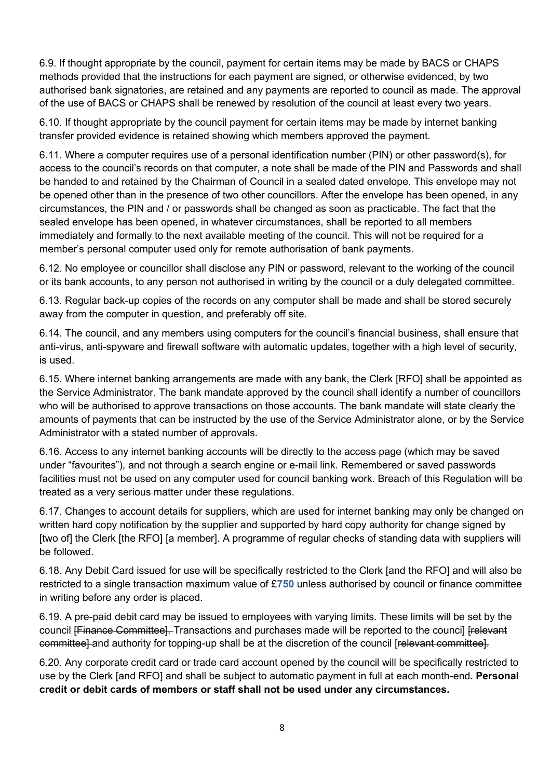6.9. If thought appropriate by the council, payment for certain items may be made by BACS or CHAPS methods provided that the instructions for each payment are signed, or otherwise evidenced, by two authorised bank signatories, are retained and any payments are reported to council as made. The approval of the use of BACS or CHAPS shall be renewed by resolution of the council at least every two years.

6.10. If thought appropriate by the council payment for certain items may be made by internet banking transfer provided evidence is retained showing which members approved the payment.

6.11. Where a computer requires use of a personal identification number (PIN) or other password(s), for access to the council's records on that computer, a note shall be made of the PIN and Passwords and shall be handed to and retained by the Chairman of Council in a sealed dated envelope. This envelope may not be opened other than in the presence of two other councillors. After the envelope has been opened, in any circumstances, the PIN and / or passwords shall be changed as soon as practicable. The fact that the sealed envelope has been opened, in whatever circumstances, shall be reported to all members immediately and formally to the next available meeting of the council. This will not be required for a member's personal computer used only for remote authorisation of bank payments.

6.12. No employee or councillor shall disclose any PIN or password, relevant to the working of the council or its bank accounts, to any person not authorised in writing by the council or a duly delegated committee.

6.13. Regular back-up copies of the records on any computer shall be made and shall be stored securely away from the computer in question, and preferably off site.

6.14. The council, and any members using computers for the council's financial business, shall ensure that anti-virus, anti-spyware and firewall software with automatic updates, together with a high level of security, is used.

6.15. Where internet banking arrangements are made with any bank, the Clerk [RFO] shall be appointed as the Service Administrator. The bank mandate approved by the council shall identify a number of councillors who will be authorised to approve transactions on those accounts. The bank mandate will state clearly the amounts of payments that can be instructed by the use of the Service Administrator alone, or by the Service Administrator with a stated number of approvals.

6.16. Access to any internet banking accounts will be directly to the access page (which may be saved under "favourites"), and not through a search engine or e-mail link. Remembered or saved passwords facilities must not be used on any computer used for council banking work. Breach of this Regulation will be treated as a very serious matter under these regulations.

6.17. Changes to account details for suppliers, which are used for internet banking may only be changed on written hard copy notification by the supplier and supported by hard copy authority for change signed by [two of] the Clerk [the RFO] [a member]. A programme of regular checks of standing data with suppliers will be followed.

6.18. Any Debit Card issued for use will be specifically restricted to the Clerk [and the RFO] and will also be restricted to a single transaction maximum value of £**750** unless authorised by council or finance committee in writing before any order is placed.

6.19. A pre-paid debit card may be issued to employees with varying limits. These limits will be set by the council [Finance Committee]. Transactions and purchases made will be reported to the council [relevant] committee] and authority for topping-up shall be at the discretion of the council [relevant committee].

6.20. Any corporate credit card or trade card account opened by the council will be specifically restricted to use by the Clerk [and RFO] and shall be subject to automatic payment in full at each month-end**. Personal credit or debit cards of members or staff shall not be used under any circumstances.**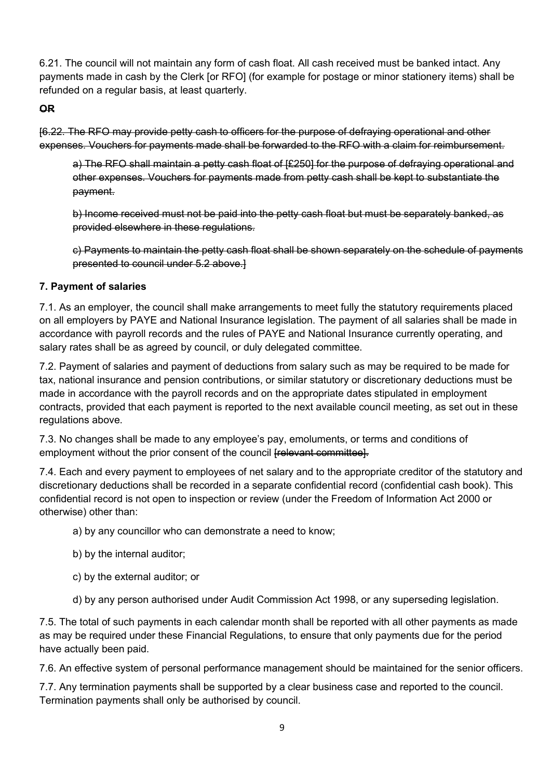6.21. The council will not maintain any form of cash float. All cash received must be banked intact. Any payments made in cash by the Clerk [or RFO] (for example for postage or minor stationery items) shall be refunded on a regular basis, at least quarterly.

#### **OR**

[6.22. The RFO may provide petty cash to officers for the purpose of defraying operational and other expenses. Vouchers for payments made shall be forwarded to the RFO with a claim for reimbursement.

a) The RFO shall maintain a petty cash float of [£250] for the purpose of defraying operational and other expenses. Vouchers for payments made from petty cash shall be kept to substantiate the payment.

b) Income received must not be paid into the petty cash float but must be separately banked, as provided elsewhere in these regulations.

c) Payments to maintain the petty cash float shall be shown separately on the schedule of payments presented to council under 5.2 above.]

#### **7. Payment of salaries**

7.1. As an employer, the council shall make arrangements to meet fully the statutory requirements placed on all employers by PAYE and National Insurance legislation. The payment of all salaries shall be made in accordance with payroll records and the rules of PAYE and National Insurance currently operating, and salary rates shall be as agreed by council, or duly delegated committee.

7.2. Payment of salaries and payment of deductions from salary such as may be required to be made for tax, national insurance and pension contributions, or similar statutory or discretionary deductions must be made in accordance with the payroll records and on the appropriate dates stipulated in employment contracts, provided that each payment is reported to the next available council meeting, as set out in these regulations above.

7.3. No changes shall be made to any employee's pay, emoluments, or terms and conditions of employment without the prior consent of the council [relevant committee].

7.4. Each and every payment to employees of net salary and to the appropriate creditor of the statutory and discretionary deductions shall be recorded in a separate confidential record (confidential cash book). This confidential record is not open to inspection or review (under the Freedom of Information Act 2000 or otherwise) other than:

a) by any councillor who can demonstrate a need to know;

- b) by the internal auditor;
- c) by the external auditor; or
- d) by any person authorised under Audit Commission Act 1998, or any superseding legislation.

7.5. The total of such payments in each calendar month shall be reported with all other payments as made as may be required under these Financial Regulations, to ensure that only payments due for the period have actually been paid.

7.6. An effective system of personal performance management should be maintained for the senior officers.

7.7. Any termination payments shall be supported by a clear business case and reported to the council. Termination payments shall only be authorised by council.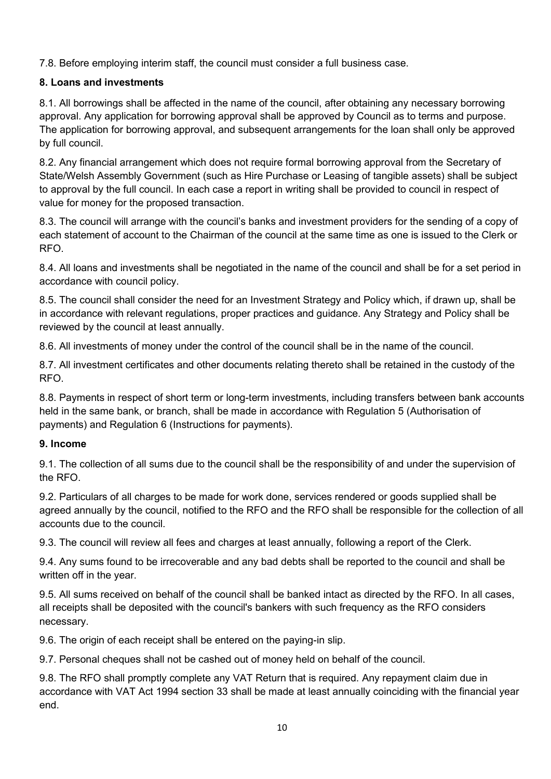7.8. Before employing interim staff, the council must consider a full business case.

## **8. Loans and investments**

8.1. All borrowings shall be affected in the name of the council, after obtaining any necessary borrowing approval. Any application for borrowing approval shall be approved by Council as to terms and purpose. The application for borrowing approval, and subsequent arrangements for the loan shall only be approved by full council.

8.2. Any financial arrangement which does not require formal borrowing approval from the Secretary of State/Welsh Assembly Government (such as Hire Purchase or Leasing of tangible assets) shall be subject to approval by the full council. In each case a report in writing shall be provided to council in respect of value for money for the proposed transaction.

8.3. The council will arrange with the council's banks and investment providers for the sending of a copy of each statement of account to the Chairman of the council at the same time as one is issued to the Clerk or RFO.

8.4. All loans and investments shall be negotiated in the name of the council and shall be for a set period in accordance with council policy.

8.5. The council shall consider the need for an Investment Strategy and Policy which, if drawn up, shall be in accordance with relevant regulations, proper practices and guidance. Any Strategy and Policy shall be reviewed by the council at least annually.

8.6. All investments of money under the control of the council shall be in the name of the council.

8.7. All investment certificates and other documents relating thereto shall be retained in the custody of the RFO.

8.8. Payments in respect of short term or long-term investments, including transfers between bank accounts held in the same bank, or branch, shall be made in accordance with Regulation 5 (Authorisation of payments) and Regulation 6 (Instructions for payments).

## **9. Income**

9.1. The collection of all sums due to the council shall be the responsibility of and under the supervision of the RFO.

9.2. Particulars of all charges to be made for work done, services rendered or goods supplied shall be agreed annually by the council, notified to the RFO and the RFO shall be responsible for the collection of all accounts due to the council.

9.3. The council will review all fees and charges at least annually, following a report of the Clerk.

9.4. Any sums found to be irrecoverable and any bad debts shall be reported to the council and shall be written off in the year.

9.5. All sums received on behalf of the council shall be banked intact as directed by the RFO. In all cases, all receipts shall be deposited with the council's bankers with such frequency as the RFO considers necessary.

9.6. The origin of each receipt shall be entered on the paying-in slip.

9.7. Personal cheques shall not be cashed out of money held on behalf of the council.

9.8. The RFO shall promptly complete any VAT Return that is required. Any repayment claim due in accordance with VAT Act 1994 section 33 shall be made at least annually coinciding with the financial year end.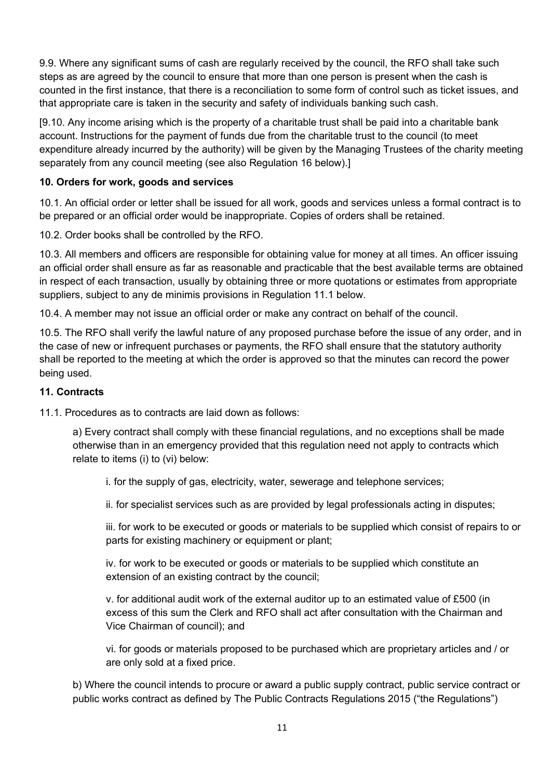9.9. Where any significant sums of cash are regularly received by the council, the RFO shall take such steps as are agreed by the council to ensure that more than one person is present when the cash is counted in the first instance, that there is a reconciliation to some form of control such as ticket issues, and that appropriate care is taken in the security and safety of individuals banking such cash.

[9.10. Any income arising which is the property of a charitable trust shall be paid into a charitable bank account. Instructions for the payment of funds due from the charitable trust to the council (to meet expenditure already incurred by the authority) will be given by the Managing Trustees of the charity meeting separately from any council meeting (see also Regulation 16 below).]

#### **10. Orders for work, goods and services**

10.1. An official order or letter shall be issued for all work, goods and services unless a formal contract is to be prepared or an official order would be inappropriate. Copies of orders shall be retained.

10.2. Order books shall be controlled by the RFO.

10.3. All members and officers are responsible for obtaining value for money at all times. An officer issuing an official order shall ensure as far as reasonable and practicable that the best available terms are obtained in respect of each transaction, usually by obtaining three or more quotations or estimates from appropriate suppliers, subject to any de minimis provisions in Regulation 11.1 below.

10.4. A member may not issue an official order or make any contract on behalf of the council.

10.5. The RFO shall verify the lawful nature of any proposed purchase before the issue of any order, and in the case of new or infrequent purchases or payments, the RFO shall ensure that the statutory authority shall be reported to the meeting at which the order is approved so that the minutes can record the power being used.

#### **11. Contracts**

11.1. Procedures as to contracts are laid down as follows:

a) Every contract shall comply with these financial regulations, and no exceptions shall be made otherwise than in an emergency provided that this regulation need not apply to contracts which relate to items (i) to (vi) below:

i. for the supply of gas, electricity, water, sewerage and telephone services;

ii. for specialist services such as are provided by legal professionals acting in disputes;

iii. for work to be executed or goods or materials to be supplied which consist of repairs to or parts for existing machinery or equipment or plant;

iv. for work to be executed or goods or materials to be supplied which constitute an extension of an existing contract by the council;

v. for additional audit work of the external auditor up to an estimated value of £500 (in excess of this sum the Clerk and RFO shall act after consultation with the Chairman and Vice Chairman of council); and

vi. for goods or materials proposed to be purchased which are proprietary articles and / or are only sold at a fixed price.

b) Where the council intends to procure or award a public supply contract, public service contract or public works contract as defined by The Public Contracts Regulations 2015 ("the Regulations")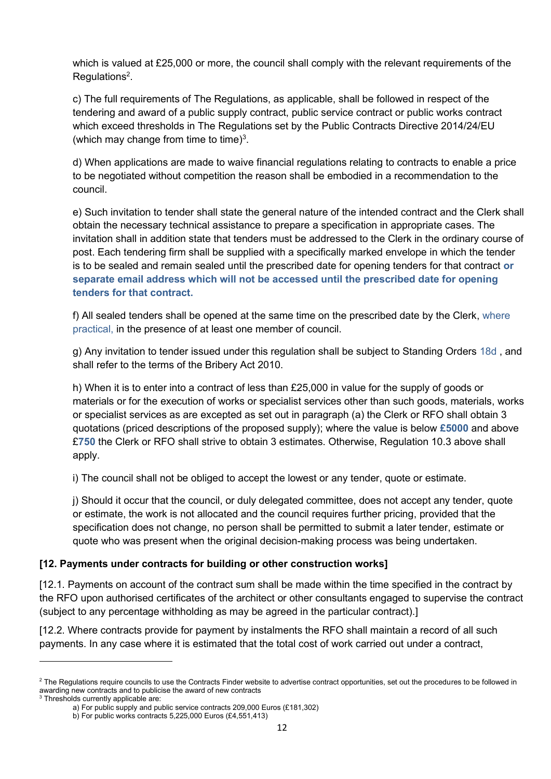which is valued at £25,000 or more, the council shall comply with the relevant requirements of the Regulations<sup>2</sup>.

c) The full requirements of The Regulations, as applicable, shall be followed in respect of the tendering and award of a public supply contract, public service contract or public works contract which exceed thresholds in The Regulations set by the Public Contracts Directive 2014/24/EU (which may change from time to time) $3$ .

d) When applications are made to waive financial regulations relating to contracts to enable a price to be negotiated without competition the reason shall be embodied in a recommendation to the council.

e) Such invitation to tender shall state the general nature of the intended contract and the Clerk shall obtain the necessary technical assistance to prepare a specification in appropriate cases. The invitation shall in addition state that tenders must be addressed to the Clerk in the ordinary course of post. Each tendering firm shall be supplied with a specifically marked envelope in which the tender is to be sealed and remain sealed until the prescribed date for opening tenders for that contract **or separate email address which will not be accessed until the prescribed date for opening tenders for that contract.**

f) All sealed tenders shall be opened at the same time on the prescribed date by the Clerk, where practical, in the presence of at least one member of council.

g) Any invitation to tender issued under this regulation shall be subject to Standing Orders 18d , and shall refer to the terms of the Bribery Act 2010.

h) When it is to enter into a contract of less than £25,000 in value for the supply of goods or materials or for the execution of works or specialist services other than such goods, materials, works or specialist services as are excepted as set out in paragraph (a) the Clerk or RFO shall obtain 3 quotations (priced descriptions of the proposed supply); where the value is below **£5000** and above £**750** the Clerk or RFO shall strive to obtain 3 estimates. Otherwise, Regulation 10.3 above shall apply.

i) The council shall not be obliged to accept the lowest or any tender, quote or estimate.

j) Should it occur that the council, or duly delegated committee, does not accept any tender, quote or estimate, the work is not allocated and the council requires further pricing, provided that the specification does not change, no person shall be permitted to submit a later tender, estimate or quote who was present when the original decision-making process was being undertaken.

#### **[12. Payments under contracts for building or other construction works]**

[12.1. Payments on account of the contract sum shall be made within the time specified in the contract by the RFO upon authorised certificates of the architect or other consultants engaged to supervise the contract (subject to any percentage withholding as may be agreed in the particular contract).]

[12.2. Where contracts provide for payment by instalments the RFO shall maintain a record of all such payments. In any case where it is estimated that the total cost of work carried out under a contract,

<sup>&</sup>lt;sup>2</sup> The Regulations require councils to use the Contracts Finder website to advertise contract opportunities, set out the procedures to be followed in awarding new contracts and to publicise the award of new contracts

<sup>3</sup> Thresholds currently applicable are:

a) For public supply and public service contracts 209,000 Euros (£181,302)

b) For public works contracts 5,225,000 Euros (£4,551,413)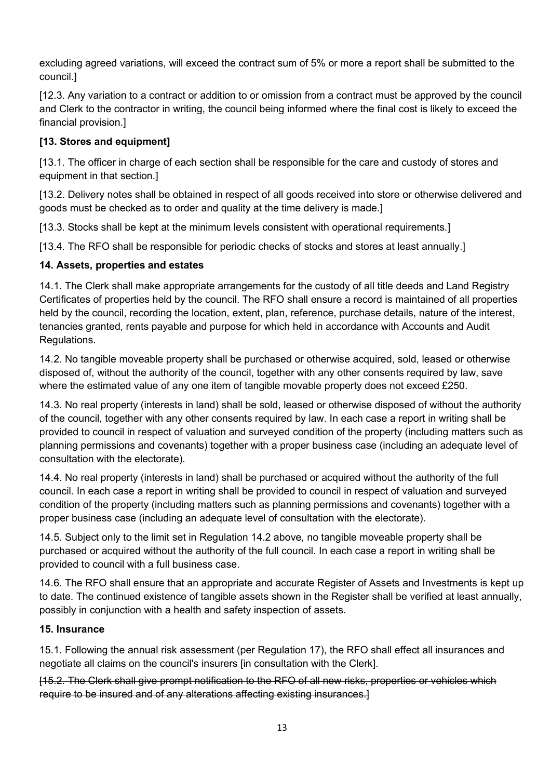excluding agreed variations, will exceed the contract sum of 5% or more a report shall be submitted to the council.]

[12.3. Any variation to a contract or addition to or omission from a contract must be approved by the council and Clerk to the contractor in writing, the council being informed where the final cost is likely to exceed the financial provision.]

## **[13. Stores and equipment]**

[13.1. The officer in charge of each section shall be responsible for the care and custody of stores and equipment in that section.]

[13.2. Delivery notes shall be obtained in respect of all goods received into store or otherwise delivered and goods must be checked as to order and quality at the time delivery is made.]

[13.3. Stocks shall be kept at the minimum levels consistent with operational requirements.]

[13.4. The RFO shall be responsible for periodic checks of stocks and stores at least annually.]

#### **14. Assets, properties and estates**

14.1. The Clerk shall make appropriate arrangements for the custody of all title deeds and Land Registry Certificates of properties held by the council. The RFO shall ensure a record is maintained of all properties held by the council, recording the location, extent, plan, reference, purchase details, nature of the interest, tenancies granted, rents payable and purpose for which held in accordance with Accounts and Audit Regulations.

14.2. No tangible moveable property shall be purchased or otherwise acquired, sold, leased or otherwise disposed of, without the authority of the council, together with any other consents required by law, save where the estimated value of any one item of tangible movable property does not exceed £250.

14.3. No real property (interests in land) shall be sold, leased or otherwise disposed of without the authority of the council, together with any other consents required by law. In each case a report in writing shall be provided to council in respect of valuation and surveyed condition of the property (including matters such as planning permissions and covenants) together with a proper business case (including an adequate level of consultation with the electorate).

14.4. No real property (interests in land) shall be purchased or acquired without the authority of the full council. In each case a report in writing shall be provided to council in respect of valuation and surveyed condition of the property (including matters such as planning permissions and covenants) together with a proper business case (including an adequate level of consultation with the electorate).

14.5. Subject only to the limit set in Regulation 14.2 above, no tangible moveable property shall be purchased or acquired without the authority of the full council. In each case a report in writing shall be provided to council with a full business case.

14.6. The RFO shall ensure that an appropriate and accurate Register of Assets and Investments is kept up to date. The continued existence of tangible assets shown in the Register shall be verified at least annually, possibly in conjunction with a health and safety inspection of assets.

#### **15. Insurance**

15.1. Following the annual risk assessment (per Regulation 17), the RFO shall effect all insurances and negotiate all claims on the council's insurers [in consultation with the Clerk].

[15.2. The Clerk shall give prompt notification to the RFO of all new risks, properties or vehicles which require to be insured and of any alterations affecting existing insurances.]